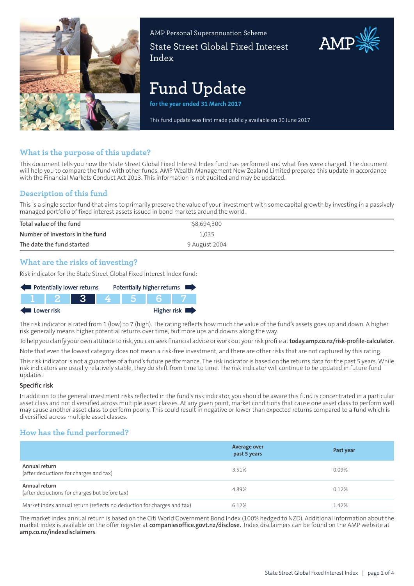

AMP Personal Superannuation Scheme State Street Global Fixed Interest Index

# **Fund Update**

**for the year ended 31 March 2017**

This fund update was first made publicly available on 30 June 2017

## **What is the purpose of this update?**

This document tells you how the State Street Global Fixed Interest Index fund has performed and what fees were charged. The document will help you to compare the fund with other funds. AMP Wealth Management New Zealand Limited prepared this update in accordance with the Financial Markets Conduct Act 2013. This information is not audited and may be updated.

## **Description of this fund**

This is a single sector fund that aims to primarily preserve the value of your investment with some capital growth by investing in a passively managed portfolio of fixed interest assets issued in bond markets around the world.

| Total value of the fund         | \$8,694,300   |
|---------------------------------|---------------|
| Number of investors in the fund | 1.035         |
| The date the fund started       | 9 August 2004 |

## **What are the risks of investing?**

Risk indicator for the State Street Global Fixed Interest Index fund:

| Potentially lower returns |      |  |  | Potentially higher returns |
|---------------------------|------|--|--|----------------------------|
|                           | 1121 |  |  |                            |
| Lower risk                |      |  |  | Higher risk $\blacksquare$ |

The risk indicator is rated from 1 (low) to 7 (high). The rating reflects how much the value of the fund's assets goes up and down. A higher risk generally means higher potential returns over time, but more ups and downs along the way.

To help you clarify your own attitude to risk, you can seek financial advice orwork out yourrisk profile at**[today.amp.co.nz/risk-profile-calculator](http://today.amp.co.nz/risk-profile-calculator)**. Note that even the lowest category does not mean a risk-free investment, and there are other risks that are not captured by this rating.

This risk indicator is not a guarantee of a fund's future performance. The risk indicator is based on the returns data for the past 5 years. While risk indicators are usually relatively stable, they do shift from time to time. The risk indicator will continue to be updated in future fund updates.

#### **Specific risk**

In addition to the general investment risks reflected in the fund's risk indicator, you should be aware this fund is concentrated in a particular asset class and not diversified across multiple asset classes. At any given point, market conditions that cause one asset class to perform well may cause another asset class to perform poorly. This could result in negative or lower than expected returns compared to a fund which is diversified across multiple asset classes.

## **How has the fund performed?**

|                                                                        | <b>Average over</b><br>past 5 years | Past year |
|------------------------------------------------------------------------|-------------------------------------|-----------|
| Annual return<br>(after deductions for charges and tax)                | 3.51%                               | 0.09%     |
| Annual return<br>(after deductions for charges but before tax)         | 4.89%                               | 0.12%     |
| Market index annual return (reflects no deduction for charges and tax) | 6.12%                               | 1.42%     |

The market index annual return is based on the Citi World Government Bond Index (100% hedged to NZD). Additional information about the market index is available on the offer register at **[companiesoffice.govt.nz/disclose.](http://companiesoffice.govt.nz/disclose)** Index disclaimers can be found on the AMP website at **[amp.co.nz/indexdisclaimers](http://amp.co.nz/indexdisclaimers)**.

AMP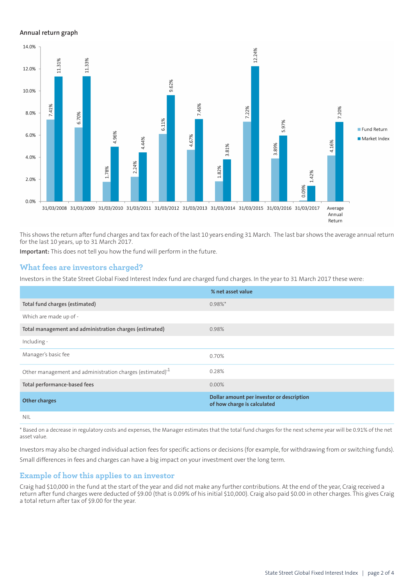#### **Annual return graph**



This shows the return after fund charges and tax for each of the last 10 years ending 31 March. The last bar shows the average annual return for the last 10 years, up to 31 March 2017.

**Important:** This does not tell you how the fund will perform in the future.

## **What fees are investors charged?**

Investors in the State Street Global Fixed Interest Index fund are charged fund charges. In the year to 31 March 2017 these were:

|                                                                      | % net asset value                                                        |
|----------------------------------------------------------------------|--------------------------------------------------------------------------|
| Total fund charges (estimated)                                       | $0.98\%$ *                                                               |
| Which are made up of -                                               |                                                                          |
| Total management and administration charges (estimated)              | 0.98%                                                                    |
| Including -                                                          |                                                                          |
| Manager's basic fee                                                  | 0.70%                                                                    |
| Other management and administration charges (estimated) <sup>1</sup> | 0.28%                                                                    |
| Total performance-based fees                                         | 0.00%                                                                    |
| <b>Other charges</b>                                                 | Dollar amount per investor or description<br>of how charge is calculated |
| <b>NIL</b>                                                           |                                                                          |

\* Based on a decrease in regulatory costs and expenses, the Manager estimates that the total fund charges for the next scheme year will be 0.91% of the net asset value.

Investors may also be charged individual action fees for specific actions or decisions (for example, for withdrawing from or switching funds). Small differences in fees and charges can have a big impact on your investment over the long term.

#### **Example of how this applies to an investor**

Craig had \$10,000 in the fund at the start of the year and did not make any further contributions. At the end of the year, Craig received a return after fund charges were deducted of \$9.00 (that is 0.09% of his initial \$10,000). Craig also paid \$0.00 in other charges. This gives Craig a total return after tax of \$9.00 for the year.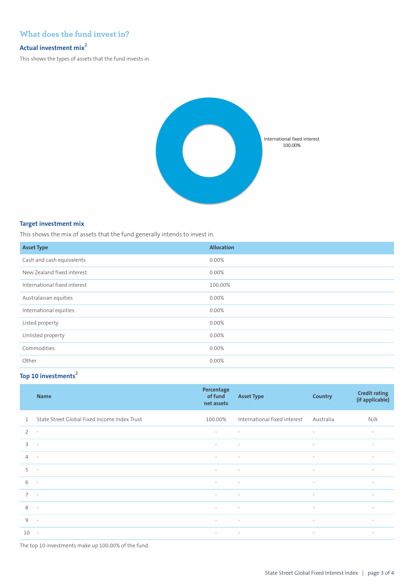## **What does the fund invest in?**

## **Actual investment mix<sup>2</sup>**

This shows the types of assets that the fund invests in.



#### **Target investment mix**

This shows the mix of assets that the fund generally intends to invest in.

| <b>Asset Type</b>            | <b>Allocation</b> |
|------------------------------|-------------------|
| Cash and cash equivalents    | 0.00%             |
| New Zealand fixed interest   | 0.00%             |
| International fixed interest | 100.00%           |
| Australasian equities        | 0.00%             |
| International equities       | 0.00%             |
| Listed property              | $0.00\%$          |
| Unlisted property            | $0.00\%$          |
| Commodities                  | 0.00%             |
| Other                        | $0.00\%$          |

## **Top 10 investments<sup>2</sup>**

|                | <b>Name</b>                                  | Percentage<br>of fund<br>net assets | <b>Asset Type</b>            | <b>Country</b>           | <b>Credit rating</b><br>(if applicable) |
|----------------|----------------------------------------------|-------------------------------------|------------------------------|--------------------------|-----------------------------------------|
| $\mathbf{1}$   | State Street Global Fixed Income Index Trust | 100.00%                             | International fixed interest | Australia                | N/A                                     |
| $\overline{2}$ | $\overline{\phantom{a}}$                     | $\sim$                              | $\sim$                       | $\sim$                   | $\overline{\phantom{a}}$                |
| 3              | $\sim$                                       | $\sim$                              | $\sim$                       | $\sim$                   | $\overline{\phantom{a}}$                |
| $\overline{4}$ | $\sim$                                       | $\sim$                              | $\sim$                       | $\overline{\phantom{a}}$ | $\overline{\phantom{a}}$                |
| 5              | $\overline{\phantom{a}}$                     | $\overline{\phantom{a}}$            | $\sim$                       | $\sim$                   | $\overline{\phantom{a}}$                |
| 6              | $\sim$                                       | $\overline{\phantom{a}}$            | $\sim$                       | $\sim$                   | $\overline{\phantom{a}}$                |
| $\overline{7}$ | $\sim$                                       | $\sim$                              | $\sim$                       | $\sim$                   | $\sim$                                  |
| 8              | $\sim$                                       | $\sim$                              | $\sim$                       | $\sim$                   | $\overline{\phantom{a}}$                |
| 9              | $\sim$                                       | $\sim$                              | $\sim$                       | $\sim$                   | $\sim$                                  |
| 10             | $\sim$                                       | $\sim$<br>and the contract          |                              | $\sim$                   | $\sim$                                  |

The top 10 investments make up 100.00% of the fund.